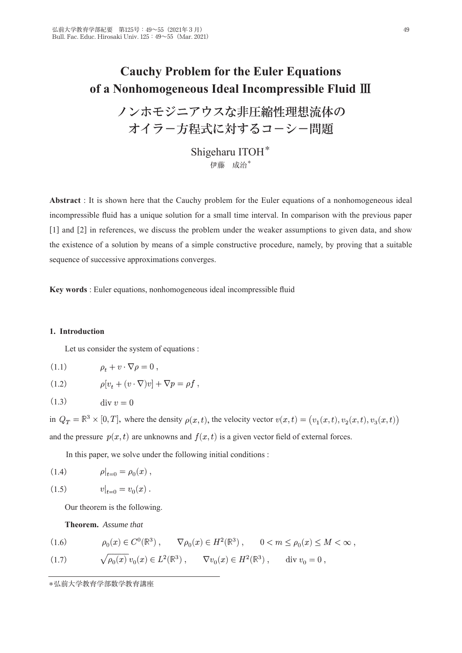# **Cauchy Problem for the Euler Equations** of a Nonhomogeneous Ideal Incompressible Fluid III

ノンホモジニアウスな非圧縮性理想流体の オイラー方程式に対するコーシー問題

> Shigeharu ITOH<sup>\*</sup> 伊藤 成治\*

**Abstract**: It is shown here that the Cauchy problem for the Euler equations of a nonhomogeneous ideal incompressible fluid has a unique solution for a small time interval. In comparison with the previous paper  $\lceil 1 \rceil$  and  $\lceil 2 \rceil$  in references, we discuss the problem under the weaker assumptions to given data, and show the existence of a solution by means of a simple constructive procedure, namely, by proving that a suitable sequence of successive approximations converges.

Key words : Euler equations, nonhomogeneous ideal incompressible fluid

### 1. Introduction

Let us consider the system of equations :

$$
(1.1) \qquad \rho_t + v \cdot \nabla \rho = 0 \;,
$$

$$
(1.2) \qquad \rho[v_t + (v \cdot \nabla)v] + \nabla p = \rho f,
$$

 $(1.3)$  $\mathrm{div} v = 0$ 

in  $Q_T = \mathbb{R}^3 \times [0,T]$ , where the density  $\rho(x,t)$ , the velocity vector  $v(x,t) = (v_1(x,t), v_2(x,t), v_3(x,t))$ and the pressure  $p(x, t)$  are unknowns and  $f(x, t)$  is a given vector field of external forces.

In this paper, we solve under the following initial conditions :

(1.4) 
$$
\rho|_{t=0} = \rho_0(x) ,
$$

(1.5) 
$$
v|_{t=0} = v_0(x) .
$$

Our theorem is the following.

Theorem. Assume that

(1.6) 
$$
\rho_0(x) \in C^0(\mathbb{R}^3) , \qquad \nabla \rho_0(x) \in H^2(\mathbb{R}^3) , \qquad 0 < m \le \rho_0(x) \le M < \infty ,
$$

(1.7) 
$$
\sqrt{\rho_0(x)} \, v_0(x) \in L^2(\mathbb{R}^3) , \qquad \nabla v_0(x) \in H^2(\mathbb{R}^3) , \qquad \text{div } v_0 = 0 ,
$$

<sup>\*</sup>弘前大学教育学部数学教育講座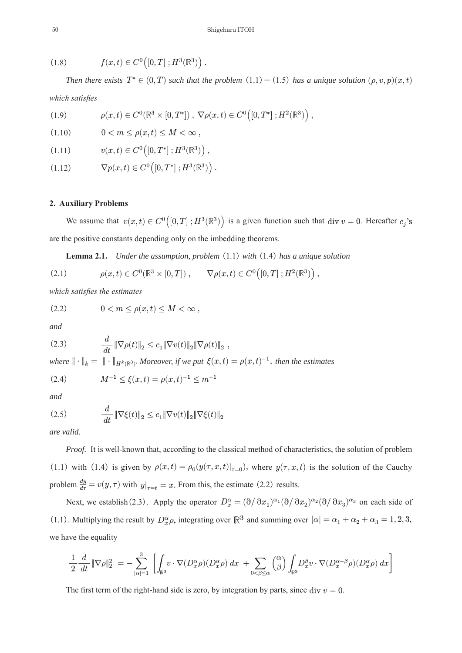(1.8) 
$$
f(x,t) \in C^{0}([0,T];H^{3}(\mathbb{R}^{3}))
$$

Then there exists  $T^* \in (0,T)$  such that the problem  $(1.1) - (1.5)$  has a unique solution  $(\rho, v, p)(x, t)$ *which satisfies* 

(1.9) 
$$
\rho(x,t) \in C^{0}(\mathbb{R}^{3} \times [0,T^{*}]), \ \nabla \rho(x,t) \in C^{0}([0,T^{*}];H^{2}(\mathbb{R}^{3})) ,
$$

 $0 < m \leq \rho(x,t) \leq M \leq \infty$ .  $(1.10)$ 

$$
(1.11) \t v(x,t) \in C^{0}([0,T^*];H^3(\mathbb{R}^3)),
$$

 $\nabla p(x,t) \in C^{0}([0,T^*];H^3(\mathbb{R}^3))$ .  $(1.12)$ 

#### **2. Auxiliary Problems**

We assume that  $v(x,t) \in C^0([0,T];H^3(\mathbb{R}^3))$  is a given function such that div  $v = 0$ . Hereafter  $c_j$ 's are the positive constants depending only on the imbedding theorems.

**Lemma 2.1.** *Under the assumption, problem* (1.1) *with* (1.4) *has a unique solution* 

(2.1) 
$$
\rho(x,t) \in C^{0}(\mathbb{R}^{3} \times [0,T]), \qquad \nabla \rho(x,t) \in C^{0}([0,T]; H^{2}(\mathbb{R}^{3}))
$$

*which satisfies the estimates* 

$$
(2.2) \t 0 < m \le \rho(x,t) \le M < \infty
$$

*and*

(2.3) 
$$
\frac{d}{dt} \|\nabla \rho(t)\|_2 \leq c_1 \|\nabla v(t)\|_2 \|\nabla \rho(t)\|_2 ,
$$

*where*  $\|\cdot\|_k = \|\cdot\|_{H^k(\mathbb{R}^3)}$ *. Moreover, if we put*  $\xi(x,t) = \rho(x,t)^{-1}$ *, then the estimates* 

$$
(2.4) \t\t M^{-1} \le \xi(x,t) = \rho(x,t)^{-1} \le m^-
$$

*and*

(2.5) 
$$
\frac{d}{dt} \|\nabla \xi(t)\|_2 \leq c_1 \|\nabla v(t)\|_2 \|\nabla \xi(t)\|_2
$$

*are valid*.

Proof. It is well-known that, according to the classical method of characteristics, the solution of problem (1.1) with (1.4) is given by  $\rho(x,t) = \rho_0(y(\tau,x,t)|_{\tau=0})$ , where  $y(\tau,x,t)$  is the solution of the Cauchy problem  $\frac{dy}{d\tau} = v(y, \tau)$  with  $y|_{\tau=t} = x$ . From this, the estimate (2.2) results.

Next, we establish (2.3). Apply the operator  $D_x^{\alpha} = (\partial/\partial x_1)^{\alpha_1}(\partial/\partial x_2)^{\alpha_2}(\partial/\partial x_3)^{\alpha_3}$  on each side of (1.1). Multiplying the result by  $D_x^{\alpha} \rho$ , integrating over  $\mathbb{R}^3$  and summing over  $|\alpha| = \alpha_1 + \alpha_2 + \alpha_3 = 1, 2, 3$ , we have the equality

$$
\frac{1}{2}\frac{d}{dt}\|\nabla\rho\|_2^2\ = \ -\sum_{|\alpha|=1}^3\ \left[\int_{\mathbb{R}^3}\!\!v\cdot\nabla(D_x^\alpha\rho)(D_x^\alpha\rho)\,dx\ + \sum_{0<\beta\leq\alpha} \binom{\alpha}{\beta}\int_{\mathbb{R}^3}\!\!D_x^\beta v\cdot\nabla(D_x^{\alpha-\beta}\rho)(D_x^\alpha\rho)\,dx\right]
$$

The first term of the right-hand side is zero, by integration by parts, since div  $v=0$ .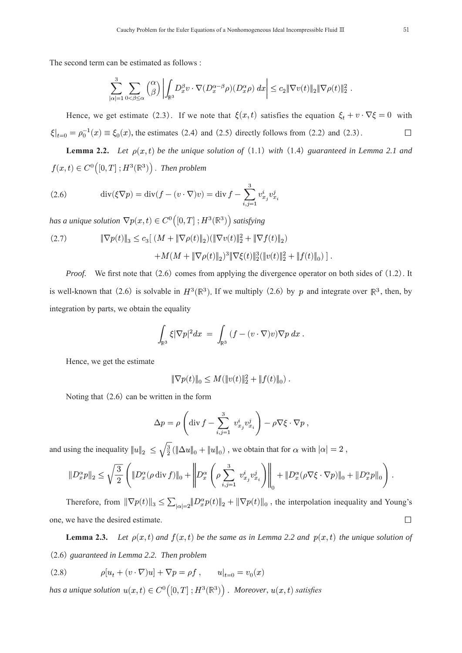The second term can be estimated as follows :

$$
\sum_{|\alpha|=1}^3 \sum_{0<\beta\leq\alpha} {\alpha\choose\beta}\left|\int_{\mathbb{R}^3}\!D_x^\beta v\cdot\nabla(D_x^{\alpha-\beta}\rho)(D_x^\alpha\rho)\,dx\right|\leq c_2\|\nabla v(t)\|_2\|\nabla\rho(t)\|_2^2\;.
$$

Hence, we get estimate (2.3). If we note that  $\xi(x,t)$  satisfies the equation  $\xi_t + v \cdot \nabla \xi = 0$  with  $\xi|_{t=0} = \rho_0^{-1}(x) \equiv \xi_0(x)$ , the estimates (2.4) and (2.5) directly follows from (2.2) and (2.3).

**Lemma 2.2.** *Let*  $\rho(x,t)$  *be the unique solution of* (1.1) *with* (1.4) *guaranteed in Lemma 2.1 and*  $f(x,t) \in C^0([0,T];H^3(\mathbb{R}^3))$ . Then problem

(2.6) 
$$
\operatorname{div}(\xi \nabla p) = \operatorname{div}(f - (v \cdot \nabla)v) = \operatorname{div} f - \sum_{i,j=1}^{3} v_{x_j}^{i} v_{x_i}^{j}
$$

*has a unique solution*  $\nabla p(x,t) \in C^0([0,T]; H^3(\mathbb{R}^3))$  *satisfying* 

(2.7) 
$$
\|\nabla p(t)\|_3 \leq c_3 \left[ (M + \|\nabla \rho(t)\|_2) (\|\nabla v(t)\|_2^2 + \|\nabla f(t)\|_2) + M(M + \|\nabla \rho(t)\|_2)^3 \|\nabla \xi(t)\|_2^3 (\|v(t)\|_2^2 + \|f(t)\|_0) \right]
$$

*Proof.* We first note that  $(2.6)$  comes from applying the divergence operator on both sides of  $(1.2)$ . It is well-known that (2.6) is solvable in  $H^3(\mathbb{R}^3)$ . If we multiply (2.6) by p and integrate over  $\mathbb{R}^3$ , then, by integration by parts, we obtain the equality

$$
\int_{\mathbb{R}^3}\xi|\nabla p|^2dx\ =\ \int_{\mathbb{R}^3}\,(f-(v\cdot\nabla)v)\nabla p\ dx\ .
$$

Hence, we get the estimate

$$
\|\nabla p(t)\|_0 \le M(\|v(t)\|_2^2 + \|f(t)\|_0).
$$

Noting that  $(2.6)$  can be written in the form

$$
\Delta p = \rho \left( \text{div} f - \sum_{i,j=1}^3 v_{x_j}^i v_{x_i}^j \right) - \rho \nabla \xi \cdot \nabla p ,
$$

and using the inequality  $||u||_2 \leq \sqrt{\frac{3}{2}}(||\Delta u||_0 + ||u||_0)$ , we obtain that for  $\alpha$  with  $|\alpha| = 2$ ,

$$
||D_x^{\alpha}p||_2 \leq \sqrt{\frac{3}{2}} \left( ||D_x^{\alpha}(\rho \operatorname{div} f)||_0 + \left\| D_x^{\alpha} \left( \rho \sum_{i,j=1}^3 v_{x_j}^i v_{x_i}^j \right) \right\|_0 + ||D_x^{\alpha}(\rho \nabla \xi \cdot \nabla p)||_0 + ||D_x^{\alpha}p||_0 \right).
$$

Therefore, from  $\|\nabla p(t)\|_3 \leq \sum_{|\alpha|=2} \|D_x^{\alpha} p(t)\|_2 + \|\nabla p(t)\|_0$ , the interpolation inequality and Young's one, we have the desired estimate.  $\Box$ 

Lemma 2.3. Let  $\rho(x,t)$  and  $f(x,t)$  be the same as in Lemma 2.2 and  $p(x,t)$  the unique solution of ⏃2.6⏆*guaranteed in Lemma 2.2. Then problem*

(2.8) 
$$
\rho[u_t + (v \cdot \nabla)u] + \nabla p = \rho f, \qquad u|_{t=0} = v_0(x)
$$

*has a unique solution*  $u(x,t) \in C^0([0,T]; H^3(\mathbb{R}^3))$ . Moreover,  $u(x,t)$  satisfies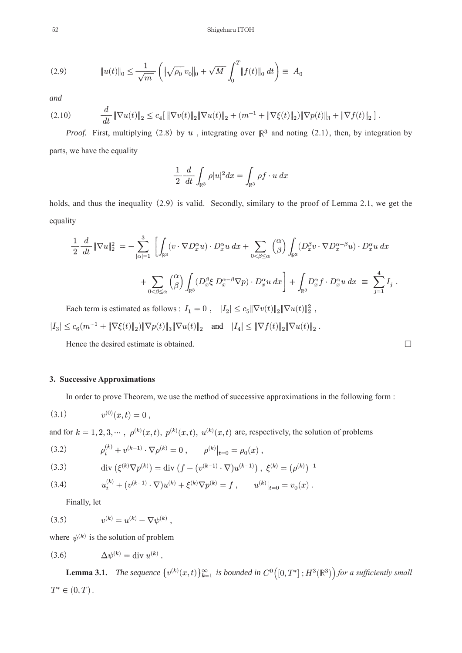(2.9) 
$$
\|u(t)\|_{0} \leq \frac{1}{\sqrt{m}} \left( \|\sqrt{\rho_{0}} \, v_{0}\|_{0} + \sqrt{M} \int_{0}^{T} \|f(t)\|_{0} \, dt \right) \equiv A_{0}
$$

and

$$
(2.10) \qquad \frac{d}{dt} \|\nabla u(t)\|_2 \leq c_4 \left[ \|\nabla v(t)\|_2 \|\nabla u(t)\|_2 + (m^{-1} + \|\nabla \xi(t)\|_2) \|\nabla p(t)\|_3 + \|\nabla f(t)\|_2 \right].
$$

*Proof.* First, multiplying (2.8) by  $u$ , integrating over  $\mathbb{R}^3$  and noting (2.1), then, by integration by parts, we have the equality

$$
\frac{1}{2} \frac{d}{dt} \int_{\mathbb{R}^3} \rho |u|^2 dx = \int_{\mathbb{R}^3} \rho f \cdot u \, dx
$$

holds, and thus the inequality (2.9) is valid. Secondly, similary to the proof of Lemma 2.1, we get the equality

$$
\frac{1}{2} \frac{d}{dt} \|\nabla u\|_2^2 = -\sum_{|\alpha|=1}^3 \left[ \int_{\mathbb{R}^3} (v \cdot \nabla D_x^{\alpha} u) \cdot D_x^{\alpha} u \, dx + \sum_{0 < \beta \le \alpha} \binom{\alpha}{\beta} \int_{\mathbb{R}^3} (D_x^{\beta} v \cdot \nabla D_x^{\alpha - \beta} u) \cdot D_x^{\alpha} u \, dx \right. \\ \left. + \sum_{0 < \beta \le \alpha} \binom{\alpha}{\beta} \int_{\mathbb{R}^3} (D_x^{\beta} \xi \, D_x^{\alpha - \beta} \nabla p) \cdot D_x^{\alpha} u \, dx \right] + \int_{\mathbb{R}^3} D_x^{\alpha} f \cdot D_x^{\alpha} u \, dx \equiv \sum_{j=1}^4 I_j \; .
$$

Each term is estimated as follows :  $I_1 = 0$ ,  $|I_2| \le c_5 \|\nabla v(t)\|_2 \|\nabla u(t)\|_2^2$ ,  $|I_3| \leq c_6 (m^{-1} + \|\nabla \xi(t) \|_2) \|\nabla p(t) \|_3 \|\nabla u(t) \|_2 \quad \text{and} \quad |I_4| \leq \|\nabla f(t) \|_2 \|\nabla u(t) \|_2 \; .$ 

Hence the desired estimate is obtained.

## 3. Successive Approximations

In order to prove Theorem, we use the method of successive approximations in the following form :

$$
(3.1) \t v(0)(x,t) = 0,
$$

and for  $k = 1, 2, 3, \dots, \rho^{(k)}(x, t), p^{(k)}(x, t), u^{(k)}(x, t)$  are, respectively, the solution of problems

(3.2) 
$$
\rho_t^{(k)} + v^{(k-1)} \cdot \nabla \rho^{(k)} = 0 , \qquad \rho^{(k)}|_{t=0} = \rho_0(x) ,
$$

(3.3) 
$$
\operatorname{div} \left( \xi^{(k)} \nabla p^{(k)} \right) = \operatorname{div} \left( f - \left( v^{(k-1)} \cdot \nabla \right) u^{(k-1)} \right), \ \xi^{(k)} = (\rho^{(k)})^{-1}
$$

(3.4) 
$$
u_t^{(k)} + (v^{(k-1)} \cdot \nabla)u^{(k)} + \xi^{(k)} \nabla p^{(k)} = f, \qquad u^{(k)}|_{t=0} = v_0(x).
$$

Finally, let

(3.5) 
$$
v^{(k)} = u^{(k)} - \nabla \psi^{(k)} ,
$$

where  $\psi^{(k)}$  is the solution of problem

$$
(3.6) \qquad \Delta \psi^{(k)} = \text{div } u^{(k)}
$$

**Lemma 3.1.** The sequence  $\{v^{(k)}(x,t)\}_{k=1}^{\infty}$  is bounded in  $C^0([0,T^*];H^3(\mathbb{R}^3))$  for a sufficiently small  $T^* \in (0, T)$  .

 $\Box$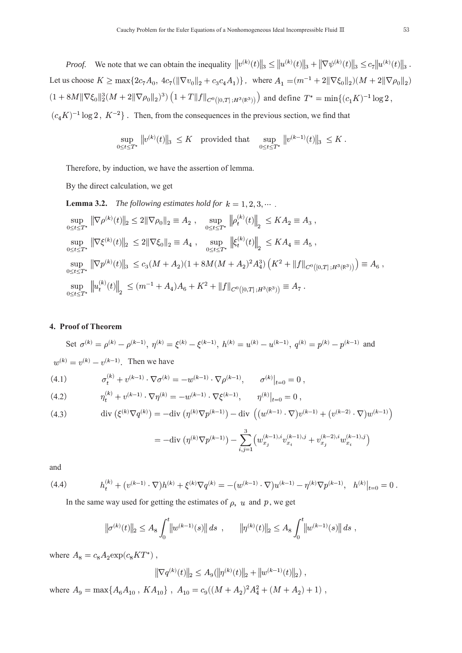*Proof.* We note that we can obtain the inequality  $||v^{(k)}(t)||_3 \leq ||u^{(k)}(t)||_3 + ||\nabla \psi^{(k)}(t)||_3 \leq c_7 ||u^{(k)}(t)||_3$ .  $\text{Let us choose } K \geq \max\{2c_7A_0, \ 4c_7(\|\nabla v_0\|_2 + c_3c_4A_1)\}, \ \text{ where } A_1 = (m^{-1} + 2\|\nabla \xi_0\|_2)(M + 2\|\nabla \rho_0\|_2)$  $(1+8M\|\nabla \xi_0\|_2^3(M+2\|\nabla \rho_0\|_2)^3)\left(1+T\|f\|_{C^0([0,T];H^3(\mathbb{R}^3))}\right) \text{ and define } T^*=\min\{(c_1K)^{-1}\log 2\},$  $(c_4 K)^{-1} \log 2$ ,  $K^{-2}$ . Then, from the consequences in the previous section, we find that

$$
\sup_{0\leq t\leq T^*}\, \|\boldsymbol{v}^{(k)}(t)\|_3\ \leq K \quad \text{provided that} \quad \sup_{0\leq t\leq T^*}\, \|\boldsymbol{v}^{(k-1)}(t)\|_3\ \leq K
$$

Therefore, by induction, we have the assertion of lemma.

By the direct calculation, we get

**Lemma 3.2.** The following estimates hold for  $k = 1, 2, 3, \cdots$ .

$$
\sup_{0 \le t \le T^*} \|\nabla \rho^{(k)}(t)\|_2 \le 2\|\nabla \rho_0\|_2 \equiv A_2 \;, \quad \sup_{0 \le t \le T^*} \left\| \rho_t^{(k)}(t) \right\|_2 \le K A_2 \equiv A_3 \;,
$$
\n
$$
\sup_{0 \le t \le T^*} \left\| \nabla \xi^{(k)}(t) \right\|_2 \le 2\|\nabla \xi_0\|_2 \equiv A_4 \;, \quad \sup_{0 \le t \le T^*} \left\| \xi_t^{(k)}(t) \right\|_2 \le K A_4 \equiv A_5 \;,
$$
\n
$$
\sup_{0 \le t \le T^*} \left\| \nabla p^{(k)}(t) \right\|_3 \le c_3 (M + A_2)(1 + 8M(M + A_2)^2 A_4^3) \left( K^2 + \|f\|_{C^0([0, T]; H^3(\mathbb{R}^3))} \right) \equiv A_6 \;,
$$
\n
$$
\sup_{0 \le t \le T^*} \left\| u_t^{(k)}(t) \right\|_2 \le (m^{-1} + A_4)A_6 + K^2 + \|f\|_{C^0([0, T]; H^3(\mathbb{R}^3))} \equiv A_7 \;.
$$

#### 4. Proof of Theorem

Set 
$$
\sigma^{(k)} = \rho^{(k)} - \rho^{(k-1)}
$$
,  $\eta^{(k)} = \xi^{(k)} - \xi^{(k-1)}$ ,  $h^{(k)} = u^{(k)} - u^{(k-1)}$ ,  $q^{(k)} = p^{(k)} - p^{(k-1)}$  and

$$
w^{(k)} = v^{(k)} - v^{(k-1)}
$$
. Then we have

(4.1) 
$$
\sigma_t^{(k)} + v^{(k-1)} \cdot \nabla \sigma^{(k)} = -w^{(k-1)} \cdot \nabla \rho^{(k-1)}, \qquad \sigma^{(k)}|_{t=0} = 0
$$

(4.2) 
$$
\eta_t^{(k)} + v^{(k-1)} \cdot \nabla \eta^{(k)} = -w^{(k-1)} \cdot \nabla \xi^{(k-1)}, \qquad \eta^{(k)}|_{t=0} = 0,
$$

(4.3) 
$$
\operatorname{div} (\xi^{(k)} \nabla q^{(k)}) = -\operatorname{div} (\eta^{(k)} \nabla p^{(k-1)}) - \operatorname{div} \left( (w^{(k-1)} \cdot \nabla) v^{(k-1)} + (v^{(k-2)} \cdot \nabla) w^{(k-1)} \right)
$$

$$
= -{\rm div} \left( \eta^{(k)} \nabla p^{(k-1)} \right) - \sum_{i,j=1}^3 \left( w_{x_j}^{(k-1),i} v_{x_i}^{(k-1),j} + v_{x_j}^{(k-2),i} w_{x_i}^{(k-1),j} \right)
$$

and

(4.4) 
$$
h_t^{(k)} + (v^{(k-1)} \cdot \nabla)h^{(k)} + \xi^{(k)} \nabla q^{(k)} = -(w^{(k-1)} \cdot \nabla)u^{(k-1)} - \eta^{(k)} \nabla p^{(k-1)}, \quad h^{(k)}|_{t=0} = 0.
$$

In the same way used for getting the estimates of  $\rho$ ,  $u$  and  $p$ , we get

$$
\|\sigma^{(k)}(t)\|_2 \leq A_8 \int_0^t \bigl\|w^{(k-1)}(s)\bigr\|\,ds~~,\qquad \|\eta^{(k)}(t)\|_2 \leq A_8 \int_0^t \bigl\|w^{(k-1)}(s)\bigr\|\,ds~,
$$

where  $A_8 = c_8 A_2 \exp(c_8 KT^*)$ ,

$$
\left\|\nabla q^{(k)}(t)\right\|_2 \leq A_9(\left\|\eta^{(k)}(t)\right\|_2 + \left\|w^{(k-1)}(t)\right\|_2),
$$

where  $A_9 = \max\{A_6A_{10}, KA_{10}\}\$ ,  $A_{10} = c_9((M+A_2)^2A_4^2 + (M+A_2)+1)$ ,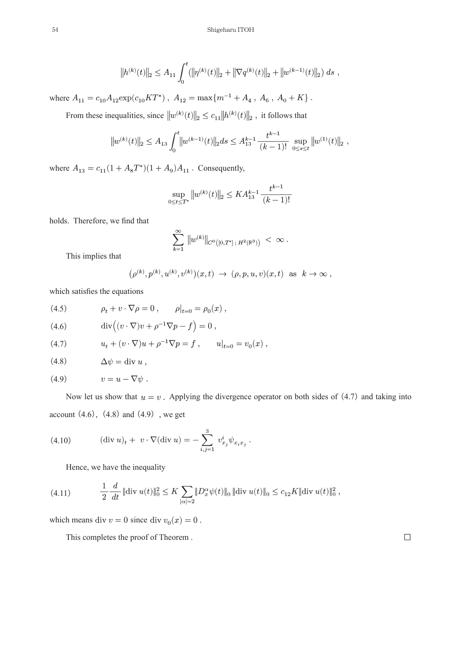$$
||h^{(k)}(t)||_2 \le A_{11} \int_0^t (||\eta^{(k)}(t)||_2 + ||\nabla q^{(k)}(t)||_2 + ||w^{(k-1)}(t)||_2) ds,
$$

where  $A_{11}=c_{10}A_{12}{\rm exp}(c_{10}KT^*)$  ,  $\,A_{12}={\rm max}\{m^{-1}+A_4$  ,  $\,A_6$  ,  $\,A_0+K\}$  .

From these inequalities, since  $\|w^{(k)}(t)\|_2 \leq c_{11} \|h^{(k)}(t)\|_2$ , it follows that

$$
\|w^{(k)}(t)\|_2 \leq A_{13} \int_0^t \bigl\|w^{(k-1)}(t)\bigr\|_2 ds \leq A_{13}^{k-1} \frac{t^{k-1}}{(k-1)!} \, \sup_{0\leq s\leq t}\bigl\|w^{(1)}(t)\bigr\|_2 \, .
$$

where  $A_{13}=c_{11}(1+A_8T^*)(1+A_9)A_{11}$  . Consequently,

$$
\sup_{0 \le t \le T^*} \|w^{(k)}(t)\|_2 \le KA_{13}^{k-1} \frac{t^{k-1}}{(k-1)!}
$$

holds. Therefore, we find that

$$
\sum_{k=1}^{\infty} \, \|w^{(k)}\|_{C^0\big([0,T^*]\,;\, H^2(\mathbb{R}^3)\big)}\, <\, \infty\ .
$$

This implies that

$$
\big(\rho^{(k)},p^{(k)},u^{(k)},v^{(k)}\big)(x,t)\ \to\ (\rho,p,u,v)(x,t)\ \text{ as }\ k\to\infty\ ,
$$

which satisfies the equations

(4.5) 
$$
\rho_t + v \cdot \nabla \rho = 0, \qquad \rho|_{t=0} = \rho_0(x),
$$

(4.6) 
$$
\operatorname{div}\left((v \cdot \nabla)v + \rho^{-1}\nabla p - f\right) = 0
$$

(4.7) 
$$
u_t + (v \cdot \nabla)u + \rho^{-1} \nabla p = f, \qquad u|_{t=0} = v_0(x) ,
$$

$$
(4.8) \t\t \Delta \psi = \text{div } u ,
$$

$$
(4.9) \t v = u - \nabla \psi.
$$

Now let us show that  $u = v$ . Applying the divergence operator on both sides of (4.7) and taking into account  $(4.6)$ ,  $(4.8)$  and  $(4.9)$ , we get

(4.10) 
$$
(\text{div } u)_t + v \cdot \nabla (\text{div } u) = -\sum_{i,j=1}^3 v_{x_j}^i \psi_{x_i x_j}
$$

Hence, we have the inequality

$$
(4.11) \qquad \qquad \frac{1}{2} \frac{d}{dt} \|\text{div } u(t)\|_{0}^{2} \leq K \sum_{|\alpha|=2} \|D_{x}^{\alpha}\psi(t)\|_{0} \|\text{div } u(t)\|_{0} \leq c_{12} K \|\text{div } u(t)\|_{0}^{2},
$$

which means div  $v = 0$  since div  $v_0(x) = 0$ .

This completes the proof of Theorem.

 $\Box$